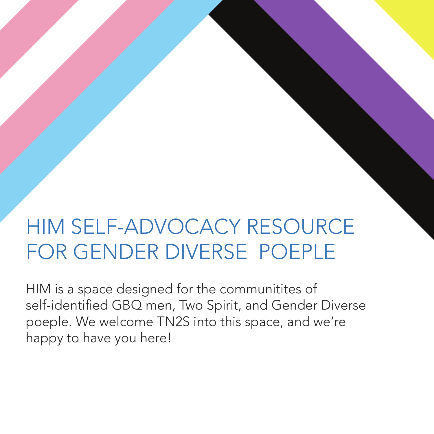## HIM SELF-ADVOCACY RESOURCE FOR GENDER DIVERSE POEPLE

HIM is a space designed for the communitites of self-identified GBQ men, Two Spirit, and Gender Diverse poeple. We welcome TN2S into this space, and we're happy to have you here!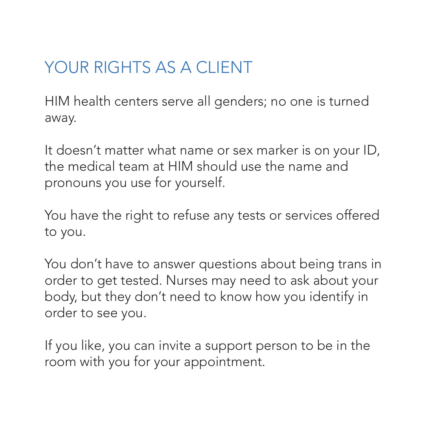## YOUR RIGHTS AS A CLIENT

HIM health centers serve all genders; no one is turned away.

It doesn't matter what name or sex marker is on your ID, the medical team at HIM should use the name and pronouns you use for yourself.

You have the right to refuse any tests or services offered to you.

You don't have to answer questions about being trans in order to get tested. Nurses may need to ask about your body, but they don't need to know how you identify in order to see you.

If you like, you can invite a support person to be in the room with you for your appointment.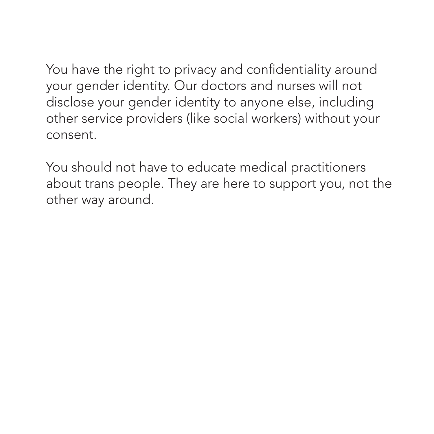You have the right to privacy and confidentiality around your gender identity. Our doctors and nurses will not disclose your gender identity to anyone else, including other service providers (like social workers) without your consent.

You should not have to educate medical practitioners about trans people. They are here to support you, not the other way around.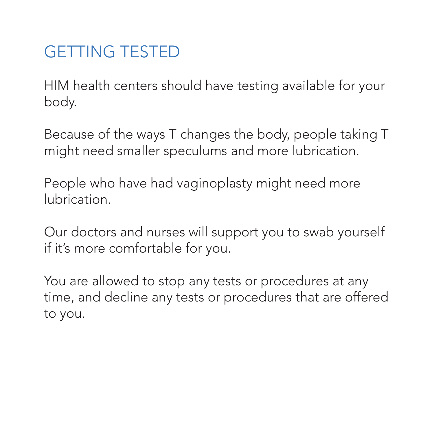## GETTING TESTED

HIM health centers should have testing available for your body.

Because of the ways T changes the body, people taking T might need smaller speculums and more lubrication.

People who have had vaginoplasty might need more lubrication.

Our doctors and nurses will support you to swab yourself if it's more comfortable for you.

You are allowed to stop any tests or procedures at any time, and decline any tests or procedures that are offered to you.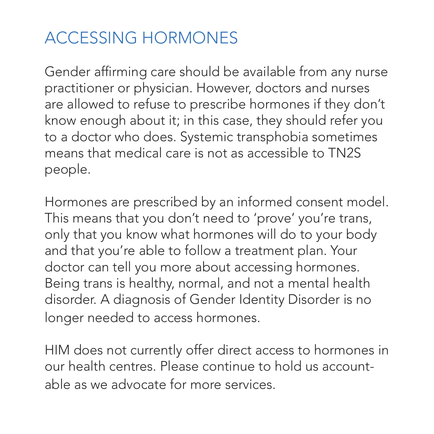## ACCESSING HORMONES

Gender affirming care should be available from any nurse practitioner or physician. However, doctors and nurses are allowed to refuse to prescribe hormones if they don't know enough about it; in this case, they should refer you to a doctor who does. Systemic transphobia sometimes means that medical care is not as accessible to TN2S people.

Hormones are prescribed by an informed consent model. This means that you don't need to 'prove' you're trans, only that you know what hormones will do to your body and that you're able to follow a treatment plan. Your doctor can tell you more about accessing hormones. Being trans is healthy, normal, and not a mental health disorder. A diagnosis of Gender Identity Disorder is no longer needed to access hormones.

HIM does not currently offer direct access to hormones in our health centres. Please continue to hold us accountable as we advocate for more services.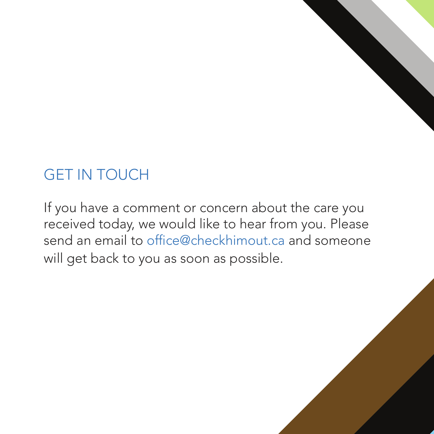

If you have a comment or concern about the care you received today, we would like to hear from you. Please send an email to office@checkhimout.ca and someone will get back to you as soon as possible.